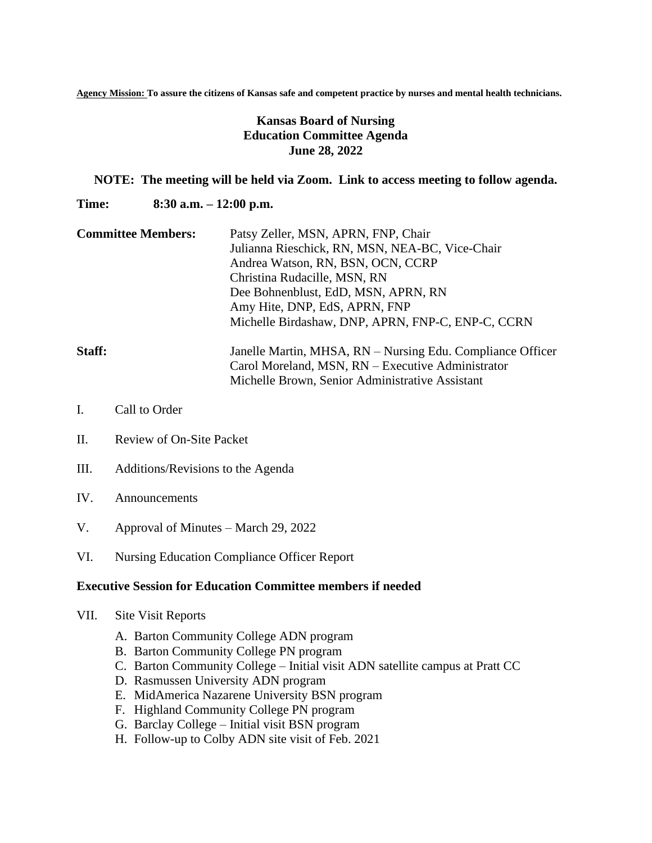**Agency Mission: To assure the citizens of Kansas safe and competent practice by nurses and mental health technicians.**

## **Kansas Board of Nursing Education Committee Agenda June 28, 2022**

## **NOTE: The meeting will be held via Zoom. Link to access meeting to follow agenda.**

**Time: 8:30 a.m. – 12:00 p.m.**

**Committee Members:** Patsy Zeller, MSN, APRN, FNP, Chair Julianna Rieschick, RN, MSN, NEA-BC, Vice-Chair Andrea Watson, RN, BSN, OCN, CCRP Christina Rudacille, MSN, RN Dee Bohnenblust, EdD, MSN, APRN, RN Amy Hite, DNP, EdS, APRN, FNP Michelle Birdashaw, DNP, APRN, FNP-C, ENP-C, CCRN

## **Staff:** Janelle Martin, MHSA, RN – Nursing Edu. Compliance Officer Carol Moreland, MSN, RN – Executive Administrator Michelle Brown, Senior Administrative Assistant

- I. Call to Order
- II. Review of On-Site Packet
- III. Additions/Revisions to the Agenda
- IV. Announcements
- V. Approval of Minutes March 29, 2022
- VI. Nursing Education Compliance Officer Report

## **Executive Session for Education Committee members if needed**

- VII. Site Visit Reports
	- A. Barton Community College ADN program
	- B. Barton Community College PN program
	- C. Barton Community College Initial visit ADN satellite campus at Pratt CC
	- D. Rasmussen University ADN program
	- E. MidAmerica Nazarene University BSN program
	- F. Highland Community College PN program
	- G. Barclay College Initial visit BSN program
	- H. Follow-up to Colby ADN site visit of Feb. 2021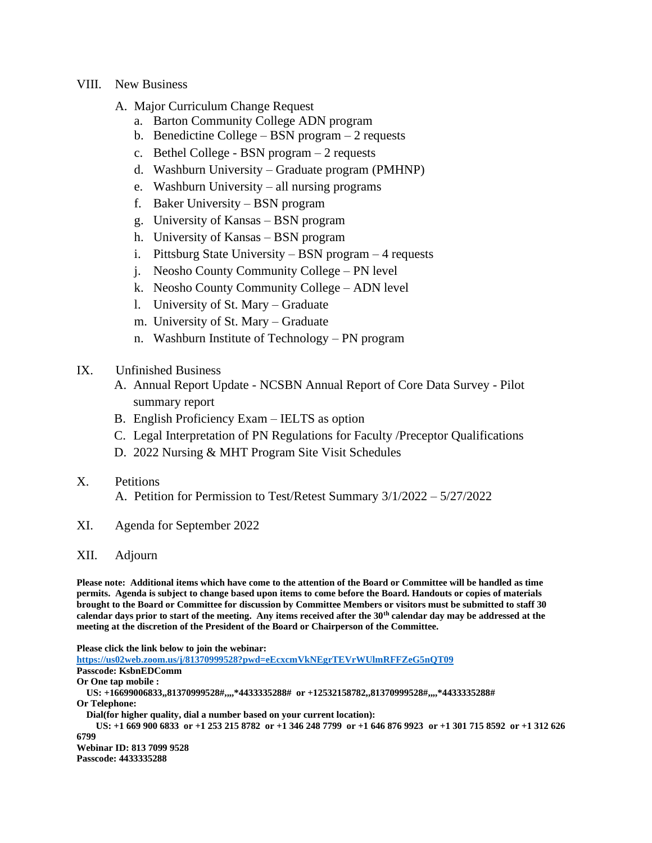- VIII. New Business
	- A. Major Curriculum Change Request
		- a. Barton Community College ADN program
		- b. Benedictine College BSN program 2 requests
		- c. Bethel College BSN program 2 requests
		- d. Washburn University Graduate program (PMHNP)
		- e. Washburn University all nursing programs
		- f. Baker University BSN program
		- g. University of Kansas BSN program
		- h. University of Kansas BSN program
		- i. Pittsburg State University BSN program 4 requests
		- j. Neosho County Community College PN level
		- k. Neosho County Community College ADN level
		- l. University of St. Mary Graduate
		- m. University of St. Mary Graduate
		- n. Washburn Institute of Technology PN program
- IX. Unfinished Business
	- A. Annual Report Update NCSBN Annual Report of Core Data Survey Pilot summary report
	- B. English Proficiency Exam IELTS as option
	- C. Legal Interpretation of PN Regulations for Faculty /Preceptor Qualifications
	- D. 2022 Nursing & MHT Program Site Visit Schedules
- X. Petitions
	- A. Petition for Permission to Test/Retest Summary 3/1/2022 5/27/2022
- XI. Agenda for September 2022
- XII. Adjourn

**Please note: Additional items which have come to the attention of the Board or Committee will be handled as time permits. Agenda is subject to change based upon items to come before the Board. Handouts or copies of materials brought to the Board or Committee for discussion by Committee Members or visitors must be submitted to staff 30 calendar days prior to start of the meeting. Any items received after the 30th calendar day may be addressed at the meeting at the discretion of the President of the Board or Chairperson of the Committee.**

**Please click the link below to join the webinar:**

**<https://us02web.zoom.us/j/81370999528?pwd=eEcxcmVkNEgrTEVrWUlmRFFZeG5nQT09> Passcode: KsbnEDComm Or One tap mobile : US: +16699006833,,81370999528#,,,,\*4433335288# or +12532158782,,81370999528#,,,,\*4433335288# Or Telephone: Dial(for higher quality, dial a number based on your current location): US: +1 669 900 6833 or +1 253 215 8782 or +1 346 248 7799 or +1 646 876 9923 or +1 301 715 8592 or +1 312 626 6799 Webinar ID: 813 7099 9528 Passcode: 4433335288**